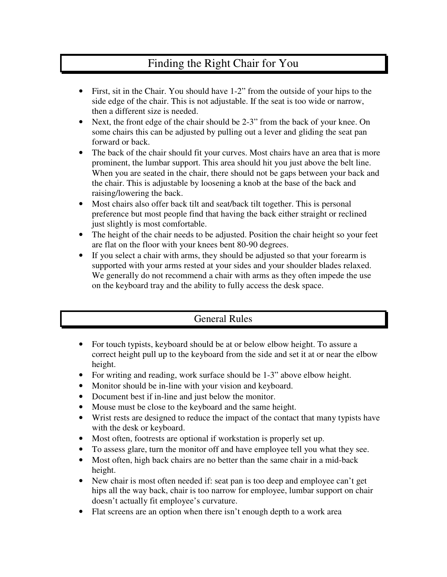## Finding the Right Chair for You

- First, sit in the Chair. You should have 1-2" from the outside of your hips to the side edge of the chair. This is not adjustable. If the seat is too wide or narrow, then a different size is needed.
- Next, the front edge of the chair should be 2-3" from the back of your knee. On some chairs this can be adjusted by pulling out a lever and gliding the seat pan forward or back.
- The back of the chair should fit your curves. Most chairs have an area that is more prominent, the lumbar support. This area should hit you just above the belt line. When you are seated in the chair, there should not be gaps between your back and the chair. This is adjustable by loosening a knob at the base of the back and raising/lowering the back.
- Most chairs also offer back tilt and seat/back tilt together. This is personal preference but most people find that having the back either straight or reclined just slightly is most comfortable.
- The height of the chair needs to be adjusted. Position the chair height so your feet are flat on the floor with your knees bent 80-90 degrees.
- If you select a chair with arms, they should be adjusted so that your forearm is supported with your arms rested at your sides and your shoulder blades relaxed. We generally do not recommend a chair with arms as they often impede the use on the keyboard tray and the ability to fully access the desk space.

## General Rules

- For touch typists, keyboard should be at or below elbow height. To assure a correct height pull up to the keyboard from the side and set it at or near the elbow height.
- For writing and reading, work surface should be 1-3" above elbow height.
- Monitor should be in-line with your vision and keyboard.
- Document best if in-line and just below the monitor.
- Mouse must be close to the keyboard and the same height.
- Wrist rests are designed to reduce the impact of the contact that many typists have with the desk or keyboard.
- Most often, footrests are optional if workstation is properly set up.
- To assess glare, turn the monitor off and have employee tell you what they see.
- Most often, high back chairs are no better than the same chair in a mid-back height.
- New chair is most often needed if: seat pan is too deep and employee can't get hips all the way back, chair is too narrow for employee, lumbar support on chair doesn't actually fit employee's curvature.
- Flat screens are an option when there isn't enough depth to a work area